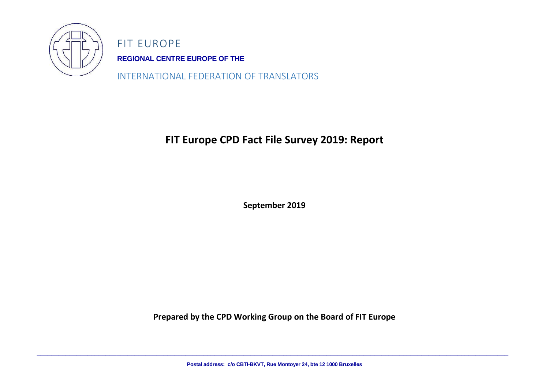

FIT EUROPE **REGIONAL CENTRE EUROPE OF THE**

INTERNATIONAL FEDERATION OF TRANSLATORS

# **FIT Europe CPD Fact File Survey 2019: Report**

**September 2019**

**Prepared by the CPD Working Group on the Board of FIT Europe**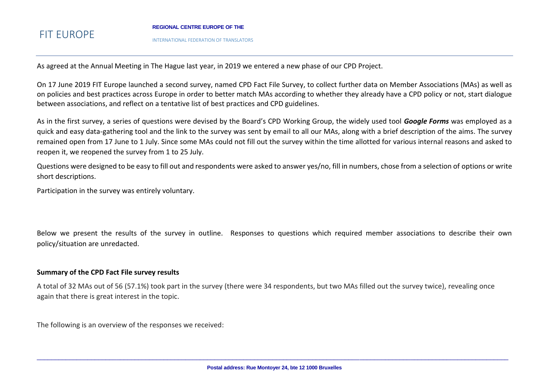#### **REGIONAL CENTRE EUROPE OF THE**

INTERNATIONAL FEDERATION OF TRANSLATORS

As agreed at the Annual Meeting in The Hague last year, in 2019 we entered a new phase of our CPD Project.

On 17 June 2019 FIT Europe launched a second survey, named CPD Fact File Survey, to collect further data on Member Associations (MAs) as well as on policies and best practices across Europe in order to better match MAs according to whether they already have a CPD policy or not, start dialogue between associations, and reflect on a tentative list of best practices and CPD guidelines.

As in the first survey, a series of questions were devised by the Board's CPD Working Group, the widely used tool *Google Forms* was employed as a quick and easy data-gathering tool and the link to the survey was sent by email to all our MAs, along with a brief description of the aims. The survey remained open from 17 June to 1 July. Since some MAs could not fill out the survey within the time allotted for various internal reasons and asked to reopen it, we reopened the survey from 1 to 25 July.

Questions were designed to be easy to fill out and respondents were asked to answer yes/no, fill in numbers, chose from a selection of options or write short descriptions.

Participation in the survey was entirely voluntary.

Below we present the results of the survey in outline. Responses to questions which required member associations to describe their own policy/situation are unredacted.

### **Summary of the CPD Fact File survey results**

A total of 32 MAs out of 56 (57.1%) took part in the survey (there were 34 respondents, but two MAs filled out the survey twice), revealing once again that there is great interest in the topic.

The following is an overview of the responses we received: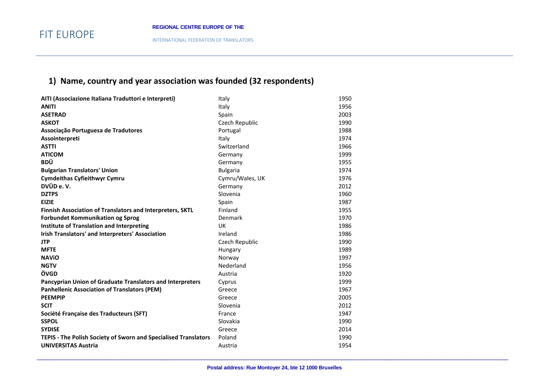## **1) Name, country and year association was founded (32 respondents)**

| AITI (Associazione Italiana Traduttori e Interpreti)             | Italy           | 1950 |
|------------------------------------------------------------------|-----------------|------|
| <b>ANITI</b>                                                     | Italy           | 1956 |
| <b>ASETRAD</b>                                                   | Spain           | 2003 |
| <b>ASKOT</b>                                                     | Czech Republic  | 1990 |
| Associação Portuguesa de Tradutores                              | Portugal        | 1988 |
| Assointerpreti                                                   | Italy           | 1974 |
| <b>ASTTI</b>                                                     | Switzerland     | 1966 |
| <b>ATICOM</b>                                                    | Germany         | 1999 |
| <b>BDÜ</b>                                                       | Germany         | 1955 |
| <b>Bulgarian Translators' Union</b>                              | <b>Bulgaria</b> | 1974 |
| <b>Cymdeithas Cyfieithwyr Cymru</b>                              | Cymru/Wales, UK | 1976 |
| DVÜD e.V.                                                        | Germany         | 2012 |
| <b>DZTPS</b>                                                     | Slovenia        | 1960 |
| <b>EIZIE</b>                                                     | Spain           | 1987 |
| <b>Finnish Association of Translators and Interpreters, SKTL</b> | Finland         | 1955 |
| <b>Forbundet Kommunikation og Sprog</b>                          | Denmark         | 1970 |
| <b>Institute of Translation and Interpreting</b>                 | UK              | 1986 |
| Irish Translators' and Interpreters' Association                 | Ireland         | 1986 |
| <b>JTP</b>                                                       | Czech Republic  | 1990 |
| <b>MFTE</b>                                                      | Hungary         | 1989 |
| <b>NAVIO</b>                                                     | Norway          | 1997 |
| <b>NGTV</b>                                                      | Nederland       | 1956 |
| ÖVGD                                                             | Austria         | 1920 |
| Pancyprian Union of Graduate Translators and Interpreters        | Cyprus          | 1999 |
| <b>Panhellenic Association of Translators (PEM)</b>              | Greece          | 1967 |
| <b>PEEMPIP</b>                                                   | Greece          | 2005 |
| <b>SCIT</b>                                                      | Slovenia        | 2012 |
| Société Française des Traducteurs (SFT)                          | France          | 1947 |
| <b>SSPOL</b>                                                     | Slovakia        | 1990 |
| <b>SYDISE</b>                                                    | Greece          | 2014 |
| TEPIS - The Polish Society of Sworn and Specialised Translators  | Poland          | 1990 |
| <b>UNIVERSITAS Austria</b>                                       | Austria         | 1954 |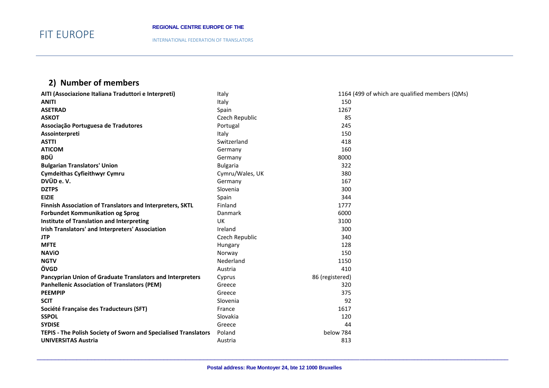INTERNATIONAL FEDERATION OF TRANSLATORS

## **2) Number of members**

| AITI (Associazione Italiana Traduttori e Interpreti)            | Italy           | 1164 (499 of which are qualified members (QMs) |
|-----------------------------------------------------------------|-----------------|------------------------------------------------|
| <b>ANITI</b>                                                    | Italy           | 150                                            |
| <b>ASETRAD</b>                                                  | Spain           | 1267                                           |
| <b>ASKOT</b>                                                    | Czech Republic  | 85                                             |
| Associação Portuguesa de Tradutores                             | Portugal        | 245                                            |
| Assointerpreti                                                  | Italy           | 150                                            |
| <b>ASTTI</b>                                                    | Switzerland     | 418                                            |
| <b>ATICOM</b>                                                   | Germany         | 160                                            |
| <b>BDÜ</b>                                                      | Germany         | 8000                                           |
| <b>Bulgarian Translators' Union</b>                             | <b>Bulgaria</b> | 322                                            |
| <b>Cymdeithas Cyfieithwyr Cymru</b>                             | Cymru/Wales, UK | 380                                            |
| DVÜD e.V.                                                       | Germany         | 167                                            |
| <b>DZTPS</b>                                                    | Slovenia        | 300                                            |
| <b>EIZIE</b>                                                    | Spain           | 344                                            |
| Finnish Association of Translators and Interpreters, SKTL       | Finland         | 1777                                           |
| <b>Forbundet Kommunikation og Sprog</b>                         | Danmark         | 6000                                           |
| <b>Institute of Translation and Interpreting</b>                | <b>UK</b>       | 3100                                           |
| Irish Translators' and Interpreters' Association                | Ireland         | 300                                            |
| <b>JTP</b>                                                      | Czech Republic  | 340                                            |
| <b>MFTE</b>                                                     | Hungary         | 128                                            |
| <b>NAVIO</b>                                                    | Norway          | 150                                            |
| <b>NGTV</b>                                                     | Nederland       | 1150                                           |
| ÖVGD                                                            | Austria         | 410                                            |
| Pancyprian Union of Graduate Translators and Interpreters       | Cyprus          | 86 (registered)                                |
| <b>Panhellenic Association of Translators (PEM)</b>             | Greece          | 320                                            |
| <b>PEEMPIP</b>                                                  | Greece          | 375                                            |
| <b>SCIT</b>                                                     | Slovenia        | 92                                             |
| Société Française des Traducteurs (SFT)                         | France          | 1617                                           |
| <b>SSPOL</b>                                                    | Slovakia        | 120                                            |
| <b>SYDISE</b>                                                   | Greece          | 44                                             |
| TEPIS - The Polish Society of Sworn and Specialised Translators | Poland          | below 784                                      |
| <b>UNIVERSITAS Austria</b>                                      | Austria         | 813                                            |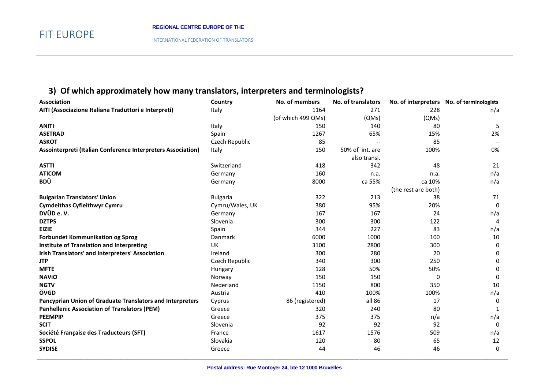INTERNATIONAL FEDERATION OF TRANSLATORS

## **3) Of which approximately how many translators, interpreters and terminologists?**

| AITI (Associazione Italiana Traduttori e Interpreti)<br>1164<br>271<br>228<br>Italy<br>(of which 499 QMs)<br>(QMs)<br>(QMs)<br><b>ANITI</b><br>150<br>140<br>80<br>Italy | n/a<br>5<br>2% |
|--------------------------------------------------------------------------------------------------------------------------------------------------------------------------|----------------|
|                                                                                                                                                                          |                |
|                                                                                                                                                                          |                |
|                                                                                                                                                                          |                |
| <b>ASETRAD</b><br>65%<br>1267<br>15%<br>Spain                                                                                                                            |                |
| <b>ASKOT</b><br>85<br>85<br>Czech Republic                                                                                                                               |                |
| 50% of int. are<br>Assointerpreti (Italian Conference Interpreters Association)<br>150<br>100%<br>Italy                                                                  | 0%             |
| also transl.                                                                                                                                                             |                |
| 342<br><b>ASTTI</b><br>Switzerland<br>418<br>48                                                                                                                          | 21             |
| <b>ATICOM</b><br>160<br>Germany<br>n.a.<br>n.a.                                                                                                                          | n/a            |
| <b>BDÜ</b><br>ca 55%<br>8000<br>ca 10%<br>Germany                                                                                                                        | n/a            |
| (the rest are both)                                                                                                                                                      |                |
| <b>Bulgarian Translators' Union</b><br>322<br>213<br><b>Bulgaria</b><br>38                                                                                               | 71             |
| 380<br><b>Cymdeithas Cyfieithwyr Cymru</b><br>Cymru/Wales, UK<br>95%<br>20%                                                                                              | 0              |
| DVÜD e.V.<br>167<br>167<br>24<br>Germany                                                                                                                                 | n/a            |
| <b>DZTPS</b><br>Slovenia<br>300<br>300<br>122                                                                                                                            | 4              |
| 227<br><b>EIZIE</b><br>Spain<br>344<br>83                                                                                                                                | n/a            |
| <b>Forbundet Kommunikation og Sprog</b><br>1000<br>Danmark<br>6000<br>100                                                                                                | 10             |
| <b>Institute of Translation and Interpreting</b><br>2800<br>UK<br>3100<br>300                                                                                            | 0              |
| Irish Translators' and Interpreters' Association<br>300<br>280<br>20<br>Ireland                                                                                          | 0              |
| 300<br><b>JTP</b><br>Czech Republic<br>340<br>250                                                                                                                        | <sup>0</sup>   |
| <b>MFTE</b><br>128<br>50%<br>50%<br>Hungary                                                                                                                              | $\Omega$       |
| <b>NAVIO</b><br>150<br>150<br>Norway<br>0                                                                                                                                | 0              |
| <b>NGTV</b><br>Nederland<br>800<br>1150<br>350                                                                                                                           | 10             |
| ÖVGD<br>410<br>Austria<br>100%<br>100%                                                                                                                                   | n/a            |
| all 86<br>Pancyprian Union of Graduate Translators and Interpreters<br>17<br>86 (registered)<br>Cyprus                                                                   | 0              |
| 240<br><b>Panhellenic Association of Translators (PEM)</b><br>320<br>80<br>Greece                                                                                        | 1              |
| <b>PEEMPIP</b><br>375<br>375<br>Greece<br>n/a                                                                                                                            | n/a            |
| <b>SCIT</b><br>92<br>92<br>92<br>Slovenia                                                                                                                                | 0              |
| Société Française des Traducteurs (SFT)<br>1617<br>1576<br>509<br>France                                                                                                 | n/a            |
| <b>SSPOL</b><br>Slovakia<br>120<br>80<br>65                                                                                                                              | 12             |
| <b>SYDISE</b><br>44<br>46<br>46<br>Greece                                                                                                                                | 0              |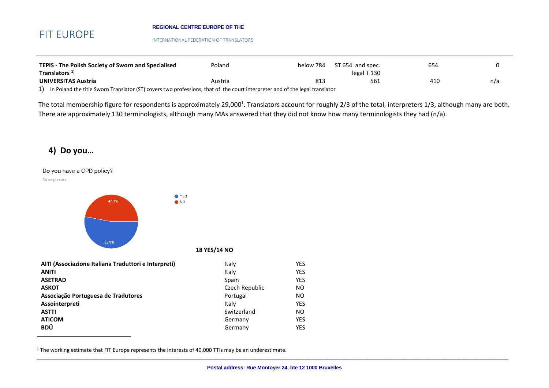#### **REGIONAL CENTRE EUROPE OF THE**

INTERNATIONAL FEDERATION OF TRANSLATORS

| TEPIS - The Polish Society of Sworn and Specialised                                                                         | Poland  | below 784       | ST 654 and spec.       | 654. |     |
|-----------------------------------------------------------------------------------------------------------------------------|---------|-----------------|------------------------|------|-----|
| Translators <sup>1)</sup>                                                                                                   |         |                 | legal T <sub>130</sub> |      |     |
| UNIVERSITAS Austria                                                                                                         | Austria | 81 <sup>2</sup> | 561                    | 410  | n/a |
| In Poland the title Sworn Translator (ST) covers two professions, that of the court interpreter and of the legal translator |         |                 |                        |      |     |

The total membership figure for respondents is approximately 29,000<sup>1</sup>. Translators account for roughly 2/3 of the total, interpreters 1/3, although many are both. There are approximately 130 terminologists, although many MAs answered that they did not know how many terminologists they had (n/a).

### **4) Do you…**

Do you have a CPD policy?

34 responses

 $\overline{\phantom{a}}$ 



| AITI (Associazione Italiana Traduttori e Interpreti) | Italy          | <b>YES</b> |
|------------------------------------------------------|----------------|------------|
| <b>ANITI</b>                                         | Italy          | <b>YES</b> |
| <b>ASETRAD</b>                                       | Spain          | <b>YES</b> |
| <b>ASKOT</b>                                         | Czech Republic | <b>NO</b>  |
| Associação Portuguesa de Tradutores                  | Portugal       | <b>NO</b>  |
| Assointerpreti                                       | Italy          | <b>YES</b> |
| <b>ASTTI</b>                                         | Switzerland    | <b>NO</b>  |
| <b>ATICOM</b>                                        | Germany        | <b>YES</b> |
| <b>BDÜ</b>                                           | Germany        | YES        |

<sup>1</sup> The working estimate that FIT Europe represents the interests of 40,000 TTIs may be an underestimate.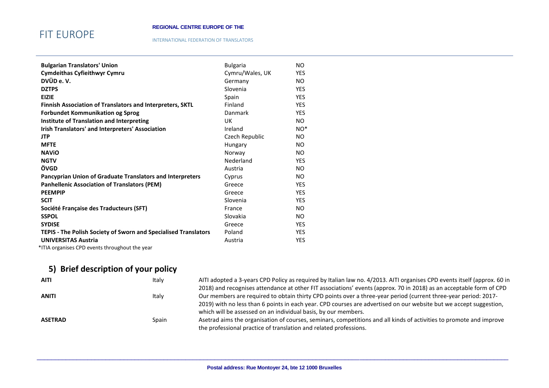## FIT EUROPE

#### INTERNATIONAL FEDERATION OF TRANSLATORS

| <b>Bulgarian Translators' Union</b>                             | <b>Bulgaria</b> | NO.        |
|-----------------------------------------------------------------|-----------------|------------|
| <b>Cymdeithas Cyfieithwyr Cymru</b>                             | Cymru/Wales, UK | <b>YES</b> |
| DVÜD e.V.                                                       | Germany         | NO.        |
| <b>DZTPS</b>                                                    | Slovenia        | <b>YES</b> |
| <b>EIZIE</b>                                                    | Spain           | <b>YES</b> |
| Finnish Association of Translators and Interpreters, SKTL       | Finland         | <b>YES</b> |
| <b>Forbundet Kommunikation og Sprog</b>                         | Danmark         | <b>YES</b> |
| <b>Institute of Translation and Interpreting</b>                | UK              | NO.        |
| Irish Translators' and Interpreters' Association                | Ireland         | $NO^*$     |
| <b>JTP</b>                                                      | Czech Republic  | NO.        |
| <b>MFTE</b>                                                     | Hungary         | NO.        |
| <b>NAVIO</b>                                                    | Norway          | NO.        |
| <b>NGTV</b>                                                     | Nederland       | <b>YES</b> |
| ÖVGD                                                            | Austria         | NO.        |
| Pancyprian Union of Graduate Translators and Interpreters       | Cyprus          | NO.        |
| <b>Panhellenic Association of Translators (PEM)</b>             | Greece          | <b>YES</b> |
| <b>PEEMPIP</b>                                                  | Greece          | <b>YES</b> |
| <b>SCIT</b>                                                     | Slovenia        | <b>YES</b> |
| Société Française des Traducteurs (SFT)                         | France          | NO.        |
| <b>SSPOL</b>                                                    | Slovakia        | NO.        |
| <b>SYDISE</b>                                                   | Greece          | <b>YES</b> |
| TEPIS - The Polish Society of Sworn and Specialised Translators | Poland          | <b>YES</b> |
| <b>UNIVERSITAS Austria</b>                                      | Austria         | <b>YES</b> |

\*ITIA organises CPD events throughout the year

## **5) Brief description of your policy**

| <b>AITI</b>    | Italy | AITI adopted a 3-years CPD Policy as required by Italian law no. 4/2013. AITI organises CPD events itself (approx. 60 in |
|----------------|-------|--------------------------------------------------------------------------------------------------------------------------|
|                |       | 2018) and recognises attendance at other FIT associations' events (approx. 70 in 2018) as an acceptable form of CPD      |
| <b>ANITI</b>   | Italy | Our members are required to obtain thirty CPD points over a three-year period (current three-year period: 2017-          |
|                |       | 2019) with no less than 6 points in each year. CPD courses are advertised on our website but we accept suggestion,       |
|                |       | which will be assessed on an individual basis, by our members.                                                           |
| <b>ASETRAD</b> | Spain | Asetrad aims the organisation of courses, seminars, competitions and all kinds of activities to promote and improve      |
|                |       | the professional practice of translation and related professions.                                                        |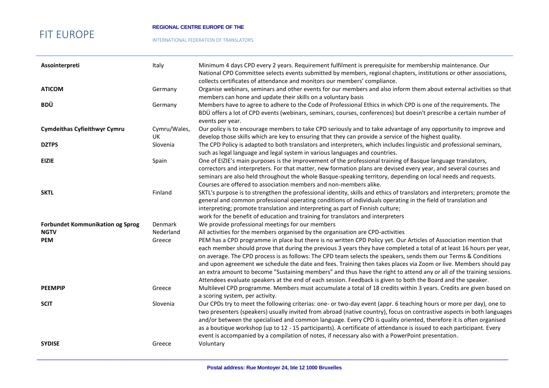#### **REGIONAL CENTRE EUROPE OF THE**

#### INTERNATIONAL FEDERATION OF TRANSLATORS

| Assointerpreti                          | Italy              | Minimum 4 days CPD every 2 years. Requirement fulfilment is prerequisite for membership maintenance. Our<br>National CPD Committee selects events submitted by members, regional chapters, institutions or other associations,<br>collects certificates of attendance and monitors our members' compliance.                                                                                                                                                                                                                                                                                                                                                                                                                |
|-----------------------------------------|--------------------|----------------------------------------------------------------------------------------------------------------------------------------------------------------------------------------------------------------------------------------------------------------------------------------------------------------------------------------------------------------------------------------------------------------------------------------------------------------------------------------------------------------------------------------------------------------------------------------------------------------------------------------------------------------------------------------------------------------------------|
| <b>ATICOM</b>                           | Germany            | Organise webinars, seminars and other events for our members and also inform them about external activities so that<br>members can hone and update their skills on a voluntary basis                                                                                                                                                                                                                                                                                                                                                                                                                                                                                                                                       |
| BDÜ                                     | Germany            | Members have to agree to adhere to the Code of Professional Ethics in which CPD is one of the requirements. The<br>BDÜ offers a lot of CPD events (webinars, seminars, courses, conferences) but doesn't prescribe a certain number of<br>events per year.                                                                                                                                                                                                                                                                                                                                                                                                                                                                 |
| <b>Cymdeithas Cyfieithwyr Cymru</b>     | Cymru/Wales,<br>UK | Our policy is to encourage members to take CPD seriously and to take advantage of any opportunity to improve and<br>develop those skills which are key to ensuring that they can provide a service of the highest quality.                                                                                                                                                                                                                                                                                                                                                                                                                                                                                                 |
| <b>DZTPS</b>                            | Slovenia           | The CPD Policy is adapted to both translators and interpreters, which includes linguistic and professional seminars,<br>such as legal language and legal system in various languages and countries.                                                                                                                                                                                                                                                                                                                                                                                                                                                                                                                        |
| <b>EIZIE</b>                            | Spain              | One of EIZIE's main purposes is the improvement of the professional training of Basque language translators,<br>correctors and interpreters. For that matter, new formation plans are devised every year, and several courses and<br>seminars are also held throughout the whole Basque-speaking territory, depending on local needs and requests.<br>Courses are offered to association members and non-members alike.                                                                                                                                                                                                                                                                                                    |
| <b>SKTL</b>                             | Finland            | SKTL's purpose is to strengthen the professional identity, skills and ethics of translators and interpreters; promote the<br>general and common professional operating conditions of individuals operating in the field of translation and<br>interpreting; promote translation and interpreting as part of Finnish culture;<br>work for the benefit of education and training for translators and interpreters                                                                                                                                                                                                                                                                                                            |
| <b>Forbundet Kommunikation og Sprog</b> | Denmark            | We provide professional meetings for our members                                                                                                                                                                                                                                                                                                                                                                                                                                                                                                                                                                                                                                                                           |
| <b>NGTV</b>                             | Nederland          | All activities for the members organised by the organisation are CPD-activities                                                                                                                                                                                                                                                                                                                                                                                                                                                                                                                                                                                                                                            |
| <b>PEM</b>                              | Greece             | PEM has a CPD programme in place but there is no written CPD Policy yet. Our Articles of Association mention that<br>each member should prove that during the previous 3 years they have completed a total of at least 16 hours per year,<br>on average. The CPD process is as follows: The CPD team selects the speakers, sends them our Terms & Conditions<br>and upon agreement we schedule the date and fees. Training then takes places via Zoom or live. Members should pay<br>an extra amount to become "Sustaining members" and thus have the right to attend any or all of the training sessions.<br>Attendees evaluate speakers at the end of each session. Feedback is given to both the Board and the speaker. |
| <b>PEEMPIP</b>                          | Greece             | Multilevel CPD programme. Members must accumulate a total of 18 credits within 3 years. Credits are given based on<br>a scoring system, per activity.                                                                                                                                                                                                                                                                                                                                                                                                                                                                                                                                                                      |
| <b>SCIT</b>                             | Slovenia           | Our CPDs try to meet the following criterias: one- or two-day event (appr. 6 teaching hours or more per day), one to<br>two presenters (speakers) usually invited from abroad (native country), focus on contrastive aspects in both languages<br>and/or between the specialised and common language. Every CPD is quality oriented, therefore it is often organised<br>as a boutique workshop (up to 12 - 15 participants). A certificate of attendance is issued to each participant. Every<br>event is accompanied by a compilation of notes, if necessary also with a PowerPoint presentation.                                                                                                                         |
| <b>SYDISE</b>                           | Greece             | Voluntary                                                                                                                                                                                                                                                                                                                                                                                                                                                                                                                                                                                                                                                                                                                  |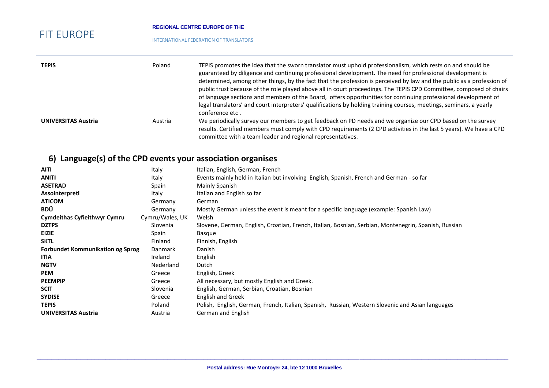#### **REGIONAL CENTRE EUROPE OF THE**

#### INTERNATIONAL FEDERATION OF TRANSLATORS

| <b>TEPIS</b>               | Poland  | TEPIS promotes the idea that the sworn translator must uphold professionalism, which rests on and should be<br>guaranteed by diligence and continuing professional development. The need for professional development is<br>determined, among other things, by the fact that the profession is perceived by law and the public as a profession of<br>public trust because of the role played above all in court proceedings. The TEPIS CPD Committee, composed of chairs<br>of language sections and members of the Board, offers opportunities for continuing professional development of<br>legal translators' and court interpreters' qualifications by holding training courses, meetings, seminars, a yearly<br>conference etc. |
|----------------------------|---------|--------------------------------------------------------------------------------------------------------------------------------------------------------------------------------------------------------------------------------------------------------------------------------------------------------------------------------------------------------------------------------------------------------------------------------------------------------------------------------------------------------------------------------------------------------------------------------------------------------------------------------------------------------------------------------------------------------------------------------------|
| <b>UNIVERSITAS Austria</b> | Austria | We periodically survey our members to get feedback on PD needs and we organize our CPD based on the survey<br>results. Certified members must comply with CPD requirements (2 CPD activities in the last 5 years). We have a CPD<br>committee with a team leader and regional representatives.                                                                                                                                                                                                                                                                                                                                                                                                                                       |

## **6) Language(s) of the CPD events your association organises**

| <b>AITI</b>                             | Italy           | Italian, English, German, French                                                                     |
|-----------------------------------------|-----------------|------------------------------------------------------------------------------------------------------|
| ANITI                                   | Italy           | Events mainly held in Italian but involving English, Spanish, French and German - so far             |
| <b>ASETRAD</b>                          | Spain           | Mainly Spanish                                                                                       |
| Assointerpreti                          | Italy           | Italian and English so far                                                                           |
| <b>ATICOM</b>                           | Germany         | German                                                                                               |
| BDÜ                                     | Germany         | Mostly German unless the event is meant for a specific language (example: Spanish Law)               |
| <b>Cymdeithas Cyfieithwyr Cymru</b>     | Cymru/Wales, UK | Welsh                                                                                                |
| <b>DZTPS</b>                            | Slovenia        | Slovene, German, English, Croatian, French, Italian, Bosnian, Serbian, Montenegrin, Spanish, Russian |
| EIZIE                                   | Spain           | Basque                                                                                               |
| <b>SKTL</b>                             | Finland         | Finnish, English                                                                                     |
| <b>Forbundet Kommunikation og Sprog</b> | Danmark         | Danish                                                                                               |
| <b>ITIA</b>                             | Ireland         | English                                                                                              |
| <b>NGTV</b>                             | Nederland       | Dutch                                                                                                |
| <b>PEM</b>                              | Greece          | English, Greek                                                                                       |
| <b>PEEMPIP</b>                          | Greece          | All necessary, but mostly English and Greek.                                                         |
| <b>SCIT</b>                             | Slovenia        | English, German, Serbian, Croatian, Bosnian                                                          |
| <b>SYDISE</b>                           | Greece          | <b>English and Greek</b>                                                                             |
| <b>TEPIS</b>                            | Poland          | Polish, English, German, French, Italian, Spanish, Russian, Western Slovenic and Asian languages     |
| <b>UNIVERSITAS Austria</b>              | Austria         | German and English                                                                                   |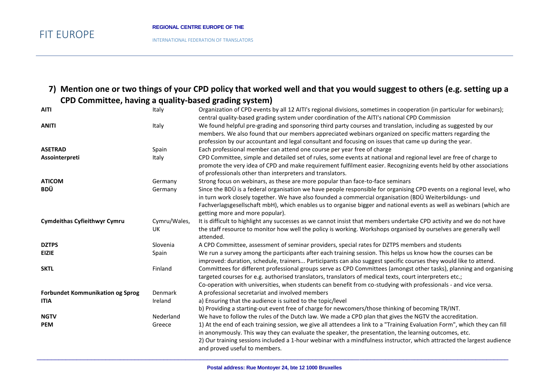INTERNATIONAL FEDERATION OF TRANSLATORS

### **7) Mention one or two things of your CPD policy that worked well and that you would suggest to others (e.g. setting up a CPD Committee, having a quality-based grading system)**

| <b>AITI</b>                             | Italy              | Organization of CPD events by all 12 AITI's regional divisions, sometimes in cooperation (in particular for webinars);<br>central quality-based grading system under coordination of the AITI's national CPD Commission                                                                                                                                 |
|-----------------------------------------|--------------------|---------------------------------------------------------------------------------------------------------------------------------------------------------------------------------------------------------------------------------------------------------------------------------------------------------------------------------------------------------|
| <b>ANITI</b>                            | Italy              | We found helpful pre-grading and sponsoring third party courses and translation, including as suggested by our<br>members. We also found that our members appreciated webinars organized on specific matters regarding the<br>profession by our accountant and legal consultant and focusing on issues that came up during the year.                    |
| <b>ASETRAD</b>                          | Spain              | Each professional member can attend one course per year free of charge                                                                                                                                                                                                                                                                                  |
| Assointerpreti                          | Italy              | CPD Committee, simple and detailed set of rules, some events at national and regional level are free of charge to<br>promote the very idea of CPD and make requirement fulfilment easier. Recognizing events held by other associations<br>of professionals other than interpreters and translators.                                                    |
| <b>ATICOM</b>                           | Germany            | Strong focus on webinars, as these are more popular than face-to-face seminars                                                                                                                                                                                                                                                                          |
| BDÜ                                     | Germany            | Since the BDÜ is a federal organisation we have people responsible for organising CPD events on a regional level, who<br>in turn work closely together. We have also founded a commercial organisation (BDÜ Weiterbildungs- und<br>Fachverlagsgesellschaft mbH), which enables us to organise bigger and national events as well as webinars (which are |
|                                         |                    | getting more and more popular).                                                                                                                                                                                                                                                                                                                         |
| <b>Cymdeithas Cyfieithwyr Cymru</b>     | Cymru/Wales,<br>UK | It is difficult to highlight any successes as we cannot insist that members undertake CPD activity and we do not have<br>the staff resource to monitor how well the policy is working. Workshops organised by ourselves are generally well                                                                                                              |
|                                         |                    | attended.                                                                                                                                                                                                                                                                                                                                               |
| <b>DZTPS</b>                            | Slovenia           | A CPD Committee, assessment of seminar providers, special rates for DZTPS members and students                                                                                                                                                                                                                                                          |
| <b>EIZIE</b>                            | Spain              | We run a survey among the participants after each training session. This helps us know how the courses can be<br>improved: duration, schedule, trainers Participants can also suggest specific courses they would like to attend.                                                                                                                       |
| <b>SKTL</b>                             | Finland            | Committees for different professional groups serve as CPD Committees (amongst other tasks), planning and organising<br>targeted courses for e.g. authorised translators, translators of medical texts, court interpreters etc.;<br>Co-operation with universities, when students can benefit from co-studying with professionals - and vice versa.      |
| <b>Forbundet Kommunikation og Sprog</b> | Denmark            | A professional secretariat and involved members                                                                                                                                                                                                                                                                                                         |
| <b>ITIA</b>                             | Ireland            | a) Ensuring that the audience is suited to the topic/level                                                                                                                                                                                                                                                                                              |
|                                         |                    | b) Providing a starting-out event free of charge for newcomers/those thinking of becoming TR/INT.                                                                                                                                                                                                                                                       |
| <b>NGTV</b>                             | Nederland          | We have to follow the rules of the Dutch law. We made a CPD plan that gives the NGTV the accreditation.                                                                                                                                                                                                                                                 |
| <b>PEM</b>                              | Greece             | 1) At the end of each training session, we give all attendees a link to a "Training Evaluation Form", which they can fill                                                                                                                                                                                                                               |
|                                         |                    | in anonymously. This way they can evaluate the speaker, the presentation, the learning outcomes, etc.<br>2) Our training sessions included a 1-hour webinar with a mindfulness instructor, which attracted the largest audience<br>and proved useful to members.                                                                                        |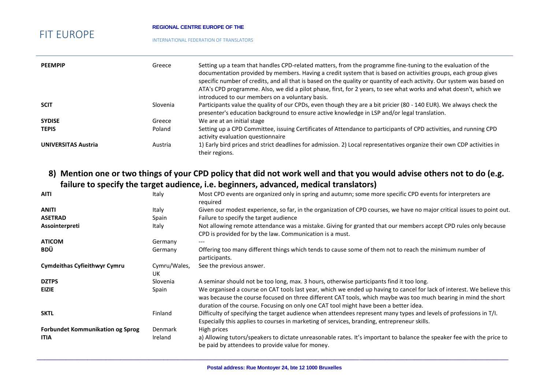#### **REGIONAL CENTRE EUROPE OF THE**

#### INTERNATIONAL FEDERATION OF TRANSLATORS

| <b>PEEMPIP</b>             | Greece   | Setting up a team that handles CPD-related matters, from the programme fine-tuning to the evaluation of the<br>documentation provided by members. Having a credit system that is based on activities groups, each group gives<br>specific number of credits, and all that is based on the quality or quantity of each activity. Our system was based on<br>ATA's CPD programme. Also, we did a pilot phase, first, for 2 years, to see what works and what doesn't, which we<br>introduced to our members on a voluntary basis. |
|----------------------------|----------|---------------------------------------------------------------------------------------------------------------------------------------------------------------------------------------------------------------------------------------------------------------------------------------------------------------------------------------------------------------------------------------------------------------------------------------------------------------------------------------------------------------------------------|
| <b>SCIT</b>                | Slovenia | Participants value the quality of our CPDs, even though they are a bit pricier (80 - 140 EUR). We always check the<br>presenter's education background to ensure active knowledge in LSP and/or legal translation.                                                                                                                                                                                                                                                                                                              |
| <b>SYDISE</b>              | Greece   | We are at an initial stage                                                                                                                                                                                                                                                                                                                                                                                                                                                                                                      |
| <b>TEPIS</b>               | Poland   | Setting up a CPD Committee, issuing Certificates of Attendance to participants of CPD activities, and running CPD<br>activity evaluation questionnaire                                                                                                                                                                                                                                                                                                                                                                          |
| <b>UNIVERSITAS Austria</b> | Austria  | 1) Early bird prices and strict deadlines for admission. 2) Local representatives organize their own CDP activities in<br>their regions.                                                                                                                                                                                                                                                                                                                                                                                        |

### **8) Mention one or two things of your CPD policy that did not work well and that you would advise others not to do (e.g. failure to specify the target audience, i.e. beginners, advanced, medical translators)**

| <b>AITI</b>                             | Italy              | Most CPD events are organized only in spring and autumn; some more specific CPD events for interpreters are                                                                                                       |
|-----------------------------------------|--------------------|-------------------------------------------------------------------------------------------------------------------------------------------------------------------------------------------------------------------|
|                                         |                    | reguired                                                                                                                                                                                                          |
| <b>ANITI</b>                            | Italy              | Given our modest experience, so far, in the organization of CPD courses, we have no major critical issues to point out.                                                                                           |
| <b>ASETRAD</b>                          | Spain              | Failure to specify the target audience                                                                                                                                                                            |
| Assointerpreti                          | Italy              | Not allowing remote attendance was a mistake. Giving for granted that our members accept CPD rules only because<br>CPD is provided for by the law. Communication is a must.                                       |
| <b>ATICOM</b>                           | Germany            |                                                                                                                                                                                                                   |
| <b>BDÜ</b>                              | Germany            | Offering too many different things which tends to cause some of them not to reach the minimum number of<br>participants.                                                                                          |
| <b>Cymdeithas Cyfieithwyr Cymru</b>     | Cymru/Wales,<br>UK | See the previous answer.                                                                                                                                                                                          |
| <b>DZTPS</b>                            | Slovenia           | A seminar should not be too long, max. 3 hours, otherwise participants find it too long.                                                                                                                          |
| <b>EIZIE</b>                            | Spain              | We organised a course on CAT tools last year, which we ended up having to cancel for lack of interest. We believe this                                                                                            |
|                                         |                    | was because the course focused on three different CAT tools, which maybe was too much bearing in mind the short<br>duration of the course. Focusing on only one CAT tool might have been a better idea.           |
| <b>SKTL</b>                             | Finland            | Difficulty of specifying the target audience when attendees represent many types and levels of professions in T/I.<br>Especially this applies to courses in marketing of services, branding, entrepreneur skills. |
| <b>Forbundet Kommunikation og Sprog</b> | Denmark            | High prices                                                                                                                                                                                                       |
| <b>ITIA</b>                             | Ireland            | a) Allowing tutors/speakers to dictate unreasonable rates. It's important to balance the speaker fee with the price to<br>be paid by attendees to provide value for money.                                        |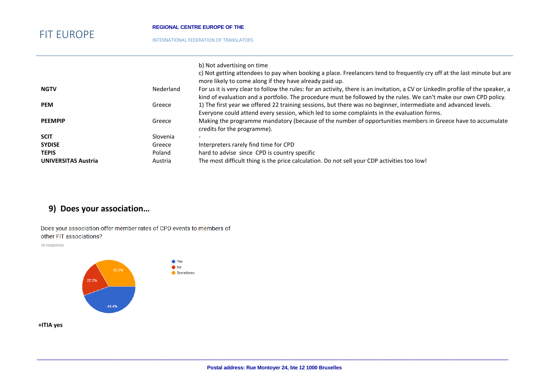#### **REGIONAL CENTRE EUROPE OF THE**

INTERNATIONAL FEDERATION OF TRANSLATORS

|                            |           | b) Not advertising on time<br>c) Not getting attendees to pay when booking a place. Freelancers tend to frequently cry off at the last minute but are<br>more likely to come along if they have already paid up. |
|----------------------------|-----------|------------------------------------------------------------------------------------------------------------------------------------------------------------------------------------------------------------------|
| <b>NGTV</b>                | Nederland | For us it is very clear to follow the rules: for an activity, there is an invitation, a CV or LinkedIn profile of the speaker, a                                                                                 |
|                            |           | kind of evaluation and a portfolio. The procedure must be followed by the rules. We can't make our own CPD policy.                                                                                               |
| <b>PEM</b>                 | Greece    | 1) The first year we offered 22 training sessions, but there was no beginner, intermediate and advanced levels.                                                                                                  |
|                            |           | Everyone could attend every session, which led to some complaints in the evaluation forms.                                                                                                                       |
| <b>PEEMPIP</b>             | Greece    | Making the programme mandatory (because of the number of opportunities members in Greece have to accumulate<br>credits for the programme).                                                                       |
| <b>SCIT</b>                | Slovenia  |                                                                                                                                                                                                                  |
| <b>SYDISE</b>              | Greece    | Interpreters rarely find time for CPD                                                                                                                                                                            |
| <b>TEPIS</b>               | Poland    | hard to advise since CPD is country specific                                                                                                                                                                     |
| <b>UNIVERSITAS Austria</b> | Austria   | The most difficult thing is the price calculation. Do not sell your CDP activities too low!                                                                                                                      |

## **9) Does your association…**

Does your association offer member rates of CPD events to members of other FIT associations?

18 responses



### **+ITIA yes**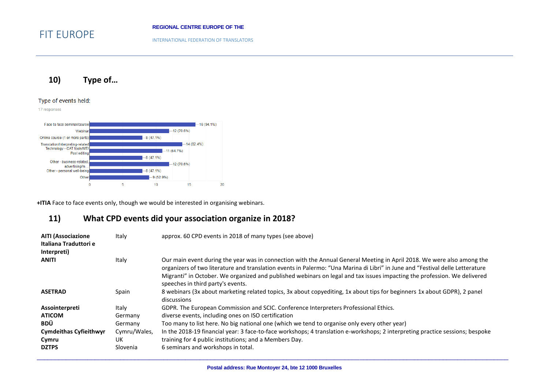INTERNATIONAL FEDERATION OF TRANSLATORS

### **10) Type of…**

#### Type of events held:

FIT EUROPE



**+ITIA** Face to face events only, though we would be interested in organising webinars.

### **11) What CPD events did your association organize in 2018?**

| <b>AITI (Associazione</b><br>Italiana Traduttori e<br>Interpreti) | Italy                          | approx. 60 CPD events in 2018 of many types (see above)                                                                                                                                                                                                                                                                                                                                                                  |
|-------------------------------------------------------------------|--------------------------------|--------------------------------------------------------------------------------------------------------------------------------------------------------------------------------------------------------------------------------------------------------------------------------------------------------------------------------------------------------------------------------------------------------------------------|
| <b>ANITI</b>                                                      | Italy                          | Our main event during the year was in connection with the Annual General Meeting in April 2018. We were also among the<br>organizers of two literature and translation events in Palermo: "Una Marina di Libri" in June and "Festival delle Letterature<br>Migranti" in October. We organized and published webinars on legal and tax issues impacting the profession. We delivered<br>speeches in third party's events. |
| <b>ASETRAD</b>                                                    | Spain                          | 8 webinars (3x about marketing related topics, 3x about copyediting, 1x about tips for beginners 1x about GDPR), 2 panel<br>discussions                                                                                                                                                                                                                                                                                  |
| Assointerpreti                                                    | Italy                          | GDPR. The European Commission and SCIC. Conference Interpreters Professional Ethics.                                                                                                                                                                                                                                                                                                                                     |
| <b>ATICOM</b>                                                     | Germany                        | diverse events, including ones on ISO certification                                                                                                                                                                                                                                                                                                                                                                      |
| BDÜ                                                               | Germany                        | Too many to list here. No big national one (which we tend to organise only every other year)                                                                                                                                                                                                                                                                                                                             |
| <b>Cymdeithas Cyfieithwyr</b><br>Cymru<br><b>DZTPS</b>            | Cymru/Wales,<br>UK<br>Slovenia | In the 2018-19 financial year: 3 face-to-face workshops; 4 translation e-workshops; 2 interpreting practice sessions; bespoke<br>training for 4 public institutions; and a Members Day.<br>6 seminars and workshops in total.                                                                                                                                                                                            |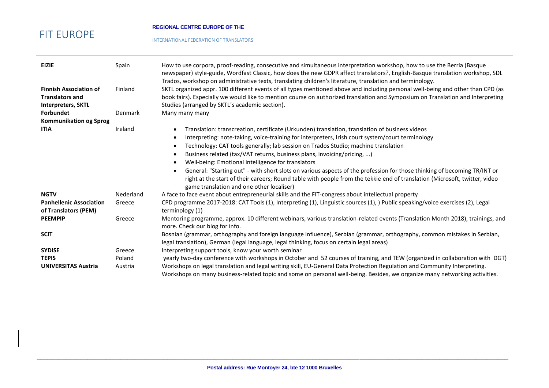#### **REGIONAL CENTRE EUROPE OF THE**

INTERNATIONAL FEDERATION OF TRANSLATORS

| <b>EIZIE</b>                                                                         | Spain     | How to use corpora, proof-reading, consecutive and simultaneous interpretation workshop, how to use the Berria (Basque<br>newspaper) style-guide, Wordfast Classic, how does the new GDPR affect translators?, English-Basque translation workshop, SDL<br>Trados, workshop on administrative texts, translating children's literature, translation and terminology. |
|--------------------------------------------------------------------------------------|-----------|----------------------------------------------------------------------------------------------------------------------------------------------------------------------------------------------------------------------------------------------------------------------------------------------------------------------------------------------------------------------|
| <b>Finnish Association of</b><br><b>Translators and</b><br><b>Interpreters, SKTL</b> | Finland   | SKTL organized appr. 100 different events of all types mentioned above and including personal well-being and other than CPD (as<br>book fairs). Especially we would like to mention course on authorized translation and Symposium on Translation and Interpreting<br>Studies (arranged by SKTL's academic section).                                                 |
| <b>Forbundet</b>                                                                     | Denmark   | Many many many                                                                                                                                                                                                                                                                                                                                                       |
| <b>Kommunikation og Sprog</b>                                                        |           |                                                                                                                                                                                                                                                                                                                                                                      |
| <b>ITIA</b>                                                                          | Ireland   | Translation: transcreation, certificate (Urkunden) translation, translation of business videos                                                                                                                                                                                                                                                                       |
|                                                                                      |           | Interpreting: note-taking, voice-training for interpreters, Irish court system/court terminology                                                                                                                                                                                                                                                                     |
|                                                                                      |           | Technology: CAT tools generally; lab session on Trados Studio; machine translation                                                                                                                                                                                                                                                                                   |
|                                                                                      |           | Business related (tax/VAT returns, business plans, invoicing/pricing, )                                                                                                                                                                                                                                                                                              |
|                                                                                      |           | Well-being: Emotional intelligence for translators                                                                                                                                                                                                                                                                                                                   |
|                                                                                      |           | General: "Starting out" - with short slots on various aspects of the profession for those thinking of becoming TR/INT or<br>right at the start of their careers; Round table with people from the tekkie end of translation (Microsoft, twitter, video<br>game translation and one other localiser)                                                                  |
| <b>NGTV</b>                                                                          | Nederland | A face to face event about entrepreneurial skills and the FIT-congress about intellectual property                                                                                                                                                                                                                                                                   |
| <b>Panhellenic Association</b><br>of Translators (PEM)                               | Greece    | CPD programme 2017-2018: CAT Tools (1), Interpreting (1), Linguistic sources (1), ) Public speaking/voice exercises (2), Legal<br>terminology (1)                                                                                                                                                                                                                    |
| <b>PEEMPIP</b>                                                                       | Greece    | Mentoring programme, approx. 10 different webinars, various translation-related events (Translation Month 2018), trainings, and<br>more. Check our blog for info.                                                                                                                                                                                                    |
| <b>SCIT</b>                                                                          |           | Bosnian (grammar, orthography and foreign language influence), Serbian (grammar, orthography, common mistakes in Serbian,<br>legal translation), German (legal language, legal thinking, focus on certain legal areas)                                                                                                                                               |
| <b>SYDISE</b>                                                                        | Greece    | Interpreting support tools, know your worth seminar                                                                                                                                                                                                                                                                                                                  |
| <b>TEPIS</b>                                                                         | Poland    | yearly two-day conference with workshops in October and 52 courses of training, and TEW (organized in collaboration with DGT)                                                                                                                                                                                                                                        |
| <b>UNIVERSITAS Austria</b>                                                           | Austria   | Workshops on legal translation and legal writing skill, EU-General Data Protection Regulation and Community Interpreting.<br>Workshops on many business-related topic and some on personal well-being. Besides, we organize many networking activities.                                                                                                              |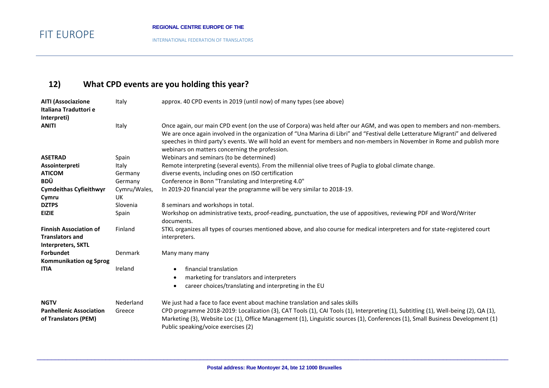INTERNATIONAL FEDERATION OF TRANSLATORS

# **12) What CPD events are you holding this year?**

| <b>AITI (Associazione</b>                              | Italy        | approx. 40 CPD events in 2019 (until now) of many types (see above)                                                                                                                                                                                                  |
|--------------------------------------------------------|--------------|----------------------------------------------------------------------------------------------------------------------------------------------------------------------------------------------------------------------------------------------------------------------|
| Italiana Traduttori e                                  |              |                                                                                                                                                                                                                                                                      |
| Interpreti)                                            |              |                                                                                                                                                                                                                                                                      |
| <b>ANITI</b>                                           | Italy        | Once again, our main CPD event (on the use of Corpora) was held after our AGM, and was open to members and non-members.                                                                                                                                              |
|                                                        |              | We are once again involved in the organization of "Una Marina di Libri" and "Festival delle Letterature Migranti" and delivered                                                                                                                                      |
|                                                        |              | speeches in third party's events. We will hold an event for members and non-members in November in Rome and publish more                                                                                                                                             |
|                                                        |              | webinars on matters concerning the profession.                                                                                                                                                                                                                       |
| <b>ASETRAD</b>                                         | Spain        | Webinars and seminars (to be determined)                                                                                                                                                                                                                             |
| Assointerpreti                                         | Italy        | Remote interpreting (several events). From the millennial olive trees of Puglia to global climate change.                                                                                                                                                            |
| <b>ATICOM</b>                                          | Germany      | diverse events, including ones on ISO certification                                                                                                                                                                                                                  |
| <b>BDÜ</b>                                             | Germany      | Conference in Bonn "Translating and Interpreting 4.0"                                                                                                                                                                                                                |
| <b>Cymdeithas Cyfieithwyr</b>                          | Cymru/Wales, | In 2019-20 financial year the programme will be very similar to 2018-19.                                                                                                                                                                                             |
| Cymru                                                  | UK           |                                                                                                                                                                                                                                                                      |
| <b>DZTPS</b>                                           | Slovenia     | 8 seminars and workshops in total.                                                                                                                                                                                                                                   |
| <b>EIZIE</b>                                           | Spain        | Workshop on administrative texts, proof-reading, punctuation, the use of appositives, reviewing PDF and Word/Writer                                                                                                                                                  |
|                                                        |              | documents.                                                                                                                                                                                                                                                           |
| <b>Finnish Association of</b>                          | Finland      | STKL organizes all types of courses mentioned above, and also course for medical interpreters and for state-registered court                                                                                                                                         |
| <b>Translators and</b>                                 |              | interpreters.                                                                                                                                                                                                                                                        |
| <b>Interpreters, SKTL</b>                              |              |                                                                                                                                                                                                                                                                      |
| <b>Forbundet</b>                                       | Denmark      | Many many many                                                                                                                                                                                                                                                       |
| <b>Kommunikation og Sprog</b>                          |              |                                                                                                                                                                                                                                                                      |
| <b>ITIA</b>                                            | Ireland      | financial translation                                                                                                                                                                                                                                                |
|                                                        |              | marketing for translators and interpreters                                                                                                                                                                                                                           |
|                                                        |              | career choices/translating and interpreting in the EU                                                                                                                                                                                                                |
|                                                        |              |                                                                                                                                                                                                                                                                      |
| <b>NGTV</b>                                            | Nederland    | We just had a face to face event about machine translation and sales skills                                                                                                                                                                                          |
| <b>Panhellenic Association</b><br>of Translators (PEM) | Greece       | CPD programme 2018-2019: Localization (3), CAT Tools (1), CAI Tools (1), Interpreting (1), Subtitling (1), Well-being (2), QA (1),<br>Marketing (3), Website Loc (1), Office Management (1), Linguistic sources (1), Conferences (1), Small Business Development (1) |
|                                                        |              | Public speaking/voice exercises (2)                                                                                                                                                                                                                                  |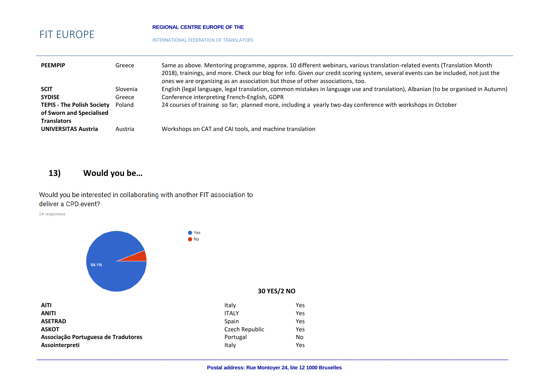#### **REGIONAL CENTRE EUROPE OF THE**

● Yes  $\bullet$  No

INTERNATIONAL FEDERATION OF TRANSLATORS

| <b>PEEMPIP</b>                                                                                                      | Greece                       | Same as above. Mentoring programme, approx. 10 different webinars, various translation-related events (Translation Month<br>2018), trainings, and more. Check our blog for info. Given our credit scoring system, several events can be included, not just the<br>ones we are organizing as an association but those of other associations, too. |
|---------------------------------------------------------------------------------------------------------------------|------------------------------|--------------------------------------------------------------------------------------------------------------------------------------------------------------------------------------------------------------------------------------------------------------------------------------------------------------------------------------------------|
| <b>SCIT</b><br><b>SYDISE</b><br><b>TEPIS - The Polish Society</b><br>of Sworn and Specialised<br><b>Translators</b> | Slovenia<br>Greece<br>Poland | English (legal language, legal translation, common mistakes in language use and translation), Albanian (to be organised in Autumn)<br>Conference interpreting French-English, GDPR<br>24 courses of training so far; planned more, including a yearly two-day conference with workshops in October                                               |
| <b>UNIVERSITAS Austria</b>                                                                                          | Austria                      | Workshops on CAT and CAI tools, and machine translation                                                                                                                                                                                                                                                                                          |

### **13) Would you be…**

Would you be interested in collaborating with another FIT association to deliver a CPD event?

34 responses



| <b>AITI</b>                         | Italy          | Yes |
|-------------------------------------|----------------|-----|
| <b>ANITI</b>                        | <b>ITALY</b>   | Yes |
| <b>ASETRAD</b>                      | Spain          | Yes |
| <b>ASKOT</b>                        | Czech Republic | Yes |
| Associação Portuguesa de Tradutores | Portugal       | No  |
| Assointerpreti                      | Italy          | Yes |

### **30 YES/2 NO**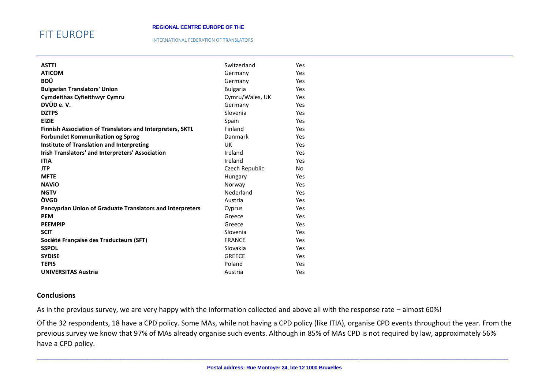## FIT EUROPE

#### INTERNATIONAL FEDERATION OF TRANSLATORS

| <b>ASTTI</b>                                                     | Switzerland     | <b>Yes</b> |
|------------------------------------------------------------------|-----------------|------------|
| <b>ATICOM</b>                                                    | Germany         | Yes        |
| <b>BDÜ</b>                                                       | Germany         | <b>Yes</b> |
| <b>Bulgarian Translators' Union</b>                              | <b>Bulgaria</b> | Yes        |
| <b>Cymdeithas Cyfieithwyr Cymru</b>                              | Cymru/Wales, UK | <b>Yes</b> |
| DVÜD e.V.                                                        | Germany         | Yes        |
| <b>DZTPS</b>                                                     | Slovenia        | <b>Yes</b> |
| <b>EIZIE</b>                                                     | Spain           | <b>Yes</b> |
| <b>Finnish Association of Translators and Interpreters, SKTL</b> | Finland         | <b>Yes</b> |
| <b>Forbundet Kommunikation og Sprog</b>                          | Danmark         | <b>Yes</b> |
| Institute of Translation and Interpreting                        | UK              | <b>Yes</b> |
| Irish Translators' and Interpreters' Association                 | Ireland         | Yes        |
| <b>ITIA</b>                                                      | Ireland         | <b>Yes</b> |
| <b>JTP</b>                                                       | Czech Republic  | No         |
| <b>MFTE</b>                                                      | Hungary         | Yes        |
| <b>NAVIO</b>                                                     | Norway          | Yes        |
| <b>NGTV</b>                                                      | Nederland       | <b>Yes</b> |
| ÖVGD                                                             | Austria         | Yes        |
| <b>Pancyprian Union of Graduate Translators and Interpreters</b> | Cyprus          | <b>Yes</b> |
| <b>PEM</b>                                                       | Greece          | <b>Yes</b> |
| <b>PEEMPIP</b>                                                   | Greece          | <b>Yes</b> |
| <b>SCIT</b>                                                      | Slovenia        | <b>Yes</b> |
| Société Française des Traducteurs (SFT)                          | <b>FRANCE</b>   | <b>Yes</b> |
| <b>SSPOL</b>                                                     | Slovakia        | <b>Yes</b> |
| <b>SYDISE</b>                                                    | <b>GREECE</b>   | <b>Yes</b> |
| <b>TEPIS</b>                                                     | Poland          | <b>Yes</b> |
| <b>UNIVERSITAS Austria</b>                                       | Austria         | Yes        |

### **Conclusions**

As in the previous survey, we are very happy with the information collected and above all with the response rate – almost 60%!

Of the 32 respondents, 18 have a CPD policy. Some MAs, while not having a CPD policy (like ITIA), organise CPD events throughout the year. From the previous survey we know that 97% of MAs already organise such events. Although in 85% of MAs CPD is not required by law, approximately 56% have a CPD policy.